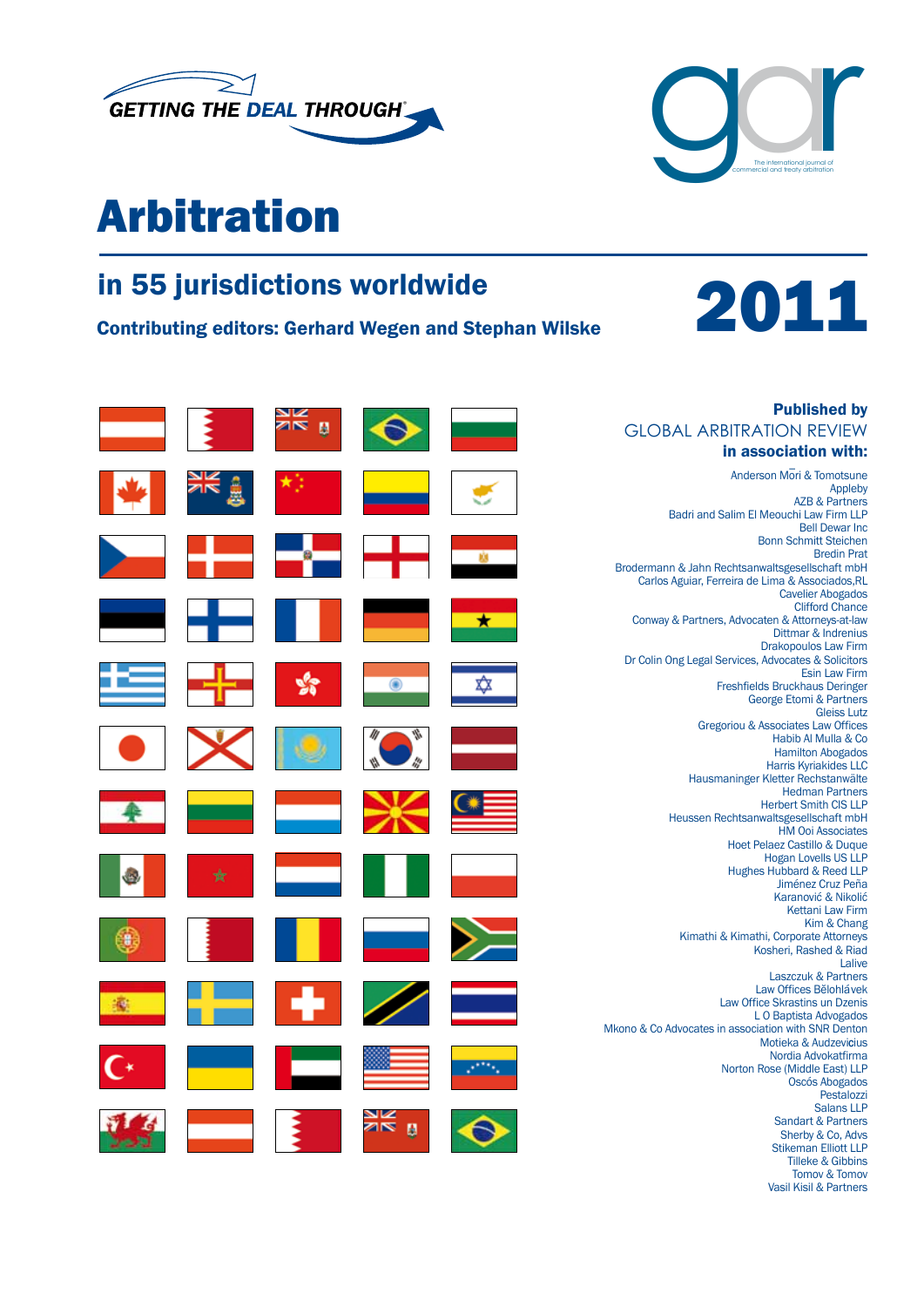

# Arbitration

 $\mathbb{Z}$ 

4

蜜

# in 55 jurisdictions worldwide<br>Contributing editors: Gerhard Wegen and Stephan Wilske<br>2011



Vasil Kisil & Partners

| <b>Published by</b>                                                    |   |         |  |
|------------------------------------------------------------------------|---|---------|--|
| <b>GLOBAL ARBITRATION REVIEW</b>                                       |   |         |  |
| in association with:                                                   |   |         |  |
| Anderson Mori & Tomotsune                                              |   |         |  |
| Appleby                                                                |   |         |  |
| <b>AZB &amp; Partners</b><br>Badri and Salim El Meouchi Law Firm LLP   |   |         |  |
| <b>Bell Dewar Inc</b>                                                  |   |         |  |
| <b>Bonn Schmitt Steichen</b>                                           |   |         |  |
| <b>Bredin Prat</b><br>Brodermann & Jahn Rechtsanwaltsgesellschaft mbH  |   |         |  |
| Carlos Aguiar, Ferreira de Lima & Associados, RL                       |   |         |  |
| <b>Cavelier Abogados</b>                                               |   |         |  |
| <b>Clifford Chance</b>                                                 |   |         |  |
| Conway & Partners, Advocaten & Attorneys-at-law<br>Dittmar & Indrenius | * |         |  |
| <b>Drakopoulos Law Firm</b>                                            |   |         |  |
| Dr Colin Ong Legal Services, Advocates & Solicitors                    |   |         |  |
| <b>Esin Law Firm</b><br>Freshfields Bruckhaus Deringer                 |   |         |  |
| <b>George Etomi &amp; Partners</b>                                     |   |         |  |
| <b>Gleiss Lutz</b>                                                     |   |         |  |
| Gregoriou & Associates Law Offices                                     |   |         |  |
| Habib Al Mulla & Co<br><b>Hamilton Abogados</b>                        |   |         |  |
| <b>Harris Kyriakides LLC</b>                                           |   |         |  |
| Hausmaninger Kletter Rechstanwälte                                     |   |         |  |
| <b>Hedman Partners</b>                                                 |   |         |  |
| <b>Herbert Smith CIS LLP</b><br>Heussen Rechtsanwaltsgesellschaft mbH  |   |         |  |
| <b>HM Ooi Associates</b>                                               |   |         |  |
| Hoet Pelaez Castillo & Duque                                           |   |         |  |
| <b>Hogan Lovells US LLP</b><br>Hughes Hubbard & Reed LLP               |   |         |  |
| Jiménez Cruz Peña                                                      |   |         |  |
| Karanović & Nikolić                                                    |   |         |  |
| <b>Kettani Law Firm</b>                                                |   |         |  |
| Kim & Chang<br>Kimathi & Kimathi, Corporate Attorneys                  |   |         |  |
| Kosheri, Rashed & Riad                                                 |   |         |  |
| Lalive                                                                 |   |         |  |
| <b>Laszczuk &amp; Partners</b><br>Law Offices Bělohlávek               |   |         |  |
| Law Office Skrastins un Dzenis                                         |   |         |  |
| LO Baptista Advogados                                                  |   |         |  |
| Mkono & Co Advocates in association with SNR Denton                    |   |         |  |
| Motieka & Audzevicius                                                  |   |         |  |
| Nordia Advokatfirma<br>Norton Rose (Middle East) LLP                   |   |         |  |
| <b>Oscós Abogados</b>                                                  |   |         |  |
| Pestalozzi                                                             |   |         |  |
| <b>Salans LLP</b><br>Sandart & Partners                                |   |         |  |
| Sherby & Co, Advs                                                      |   | 9N<br>ø |  |
| <b>Stikeman Elliott LLP</b>                                            |   |         |  |
| <b>Tilleke &amp; Gibbins</b>                                           |   |         |  |
| Tomov & Tomov                                                          |   |         |  |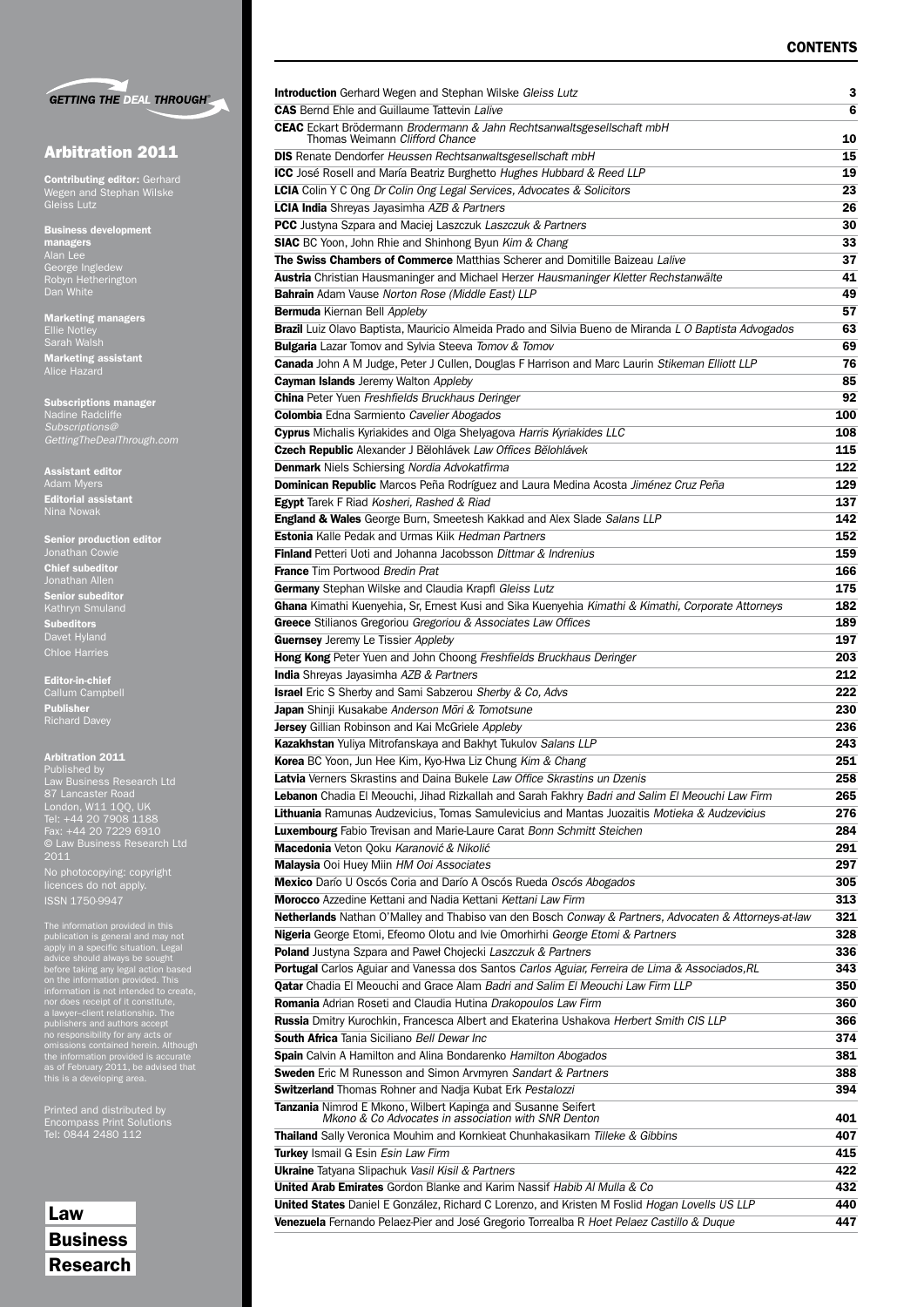

## Arbitration 2011

**Contributing editor: Gerhard** Wegen and Stephan Wilske Gleiss Lutz

Business development managers George Ingledew Robyn Hetherington

Marketing managers Ellie Notley Sarah Walsh Marketing assistant Alice Hazard

Subscriptions manager Nadine Radcliffe *Subscriptions@ GettingTheDealThrough.com*

Assistant editor Adam Myers Editorial assistant Nina Nowak

Senior production editor Jonathan Cowie Chief subeditor Jonathan Allen Senior subeditor Kathryn Smuland Subeditors Davet Hyland

Editor-in-chief Callum Campbell Publisher Richard Davey

Chloe Harries

#### Arbitration 2011

Published by Law Business Research Ltd London, W11 1QQ, UK Tel: +44 20 7908 1188 Fax: +44 20 7229 6910 © Law Business Research Ltd 2011 No photocopying: copyright licences do not apply.

The information provided in this<br>publication is general and may not<br>paply in a specific situation. Legal<br>advice should always be sought<br>before taking any legal action based<br>on the information provided. This<br>information is

Printed and distributed by Tel: 0844 2480 112

Law Business Research

| <b>Introduction</b> Gerhard Wegen and Stephan Wilske Gleiss Lutz                                                           | 3   |
|----------------------------------------------------------------------------------------------------------------------------|-----|
| <b>CAS</b> Bernd Ehle and Guillaume Tattevin Lalive                                                                        | 6   |
| CEAC Eckart Brödermann Brodermann & Jahn Rechtsanwaltsgesellschaft mbH<br>Thomas Weimann Clifford Chance                   |     |
|                                                                                                                            | 10  |
| <b>DIS</b> Renate Dendorfer Heussen Rechtsanwaltsgesellschaft mbH                                                          | 15  |
| <b>ICC</b> José Rosell and María Beatriz Burghetto Hughes Hubbard & Reed LLP                                               | 19  |
| LCIA Colin Y C Ong Dr Colin Ong Legal Services, Advocates & Solicitors                                                     | 23  |
| <b>LCIA India</b> Shreyas Jayasimha AZB & Partners                                                                         | 26  |
| <b>PCC</b> Justyna Szpara and Maciej Laszczuk Laszczuk & Partners                                                          | 30  |
| SIAC BC Yoon, John Rhie and Shinhong Byun Kim & Chang                                                                      | 33  |
| The Swiss Chambers of Commerce Matthias Scherer and Domitille Baizeau Lalive                                               | 37  |
| Austria Christian Hausmaninger and Michael Herzer Hausmaninger Kletter Rechstanwälte                                       | 41  |
| Bahrain Adam Vause Norton Rose (Middle East) LLP                                                                           | 49  |
| Bermuda Kiernan Bell Appleby                                                                                               | 57  |
| Brazil Luiz Olavo Baptista, Mauricio Almeida Prado and Silvia Bueno de Miranda L O Baptista Advogados                      | 63  |
|                                                                                                                            | 69  |
| <b>Bulgaria</b> Lazar Tomov and Sylvia Steeva Tomov & Tomov                                                                |     |
| Canada John A M Judge, Peter J Cullen, Douglas F Harrison and Marc Laurin Stikeman Elliott LLP                             | 76  |
| <b>Cayman Islands</b> Jeremy Walton Appleby                                                                                | 85  |
| <b>China</b> Peter Yuen Freshfields Bruckhaus Deringer                                                                     | 92  |
| Colombia Edna Sarmiento Cavelier Abogados                                                                                  | 100 |
| Cyprus Michalis Kyriakides and Olga Shelyagova Harris Kyriakides LLC                                                       | 108 |
| Czech Republic Alexander J Bělohlávek Law Offices Bělohlávek                                                               | 115 |
| <b>Denmark</b> Niels Schiersing Nordia Advokatfirma                                                                        | 122 |
| Dominican Republic Marcos Peña Rodríguez and Laura Medina Acosta Jiménez Cruz Peña                                         | 129 |
| Egypt Tarek F Riad Kosheri, Rashed & Riad                                                                                  | 137 |
| England & Wales George Burn, Smeetesh Kakkad and Alex Slade Salans LLP                                                     | 142 |
| <b>Estonia</b> Kalle Pedak and Urmas Kiik Hedman Partners                                                                  | 152 |
| <b>Finland</b> Petteri Uoti and Johanna Jacobsson Dittmar & Indrenius                                                      | 159 |
| <b>France</b> Tim Portwood Bredin Prat                                                                                     | 166 |
| Germany Stephan Wilske and Claudia Krapfl Gleiss Lutz                                                                      | 175 |
|                                                                                                                            | 182 |
| Ghana Kimathi Kuenyehia, Sr, Ernest Kusi and Sika Kuenyehia Kimathi & Kimathi, Corporate Attorneys                         |     |
| Greece Stilianos Gregoriou Gregoriou & Associates Law Offices                                                              | 189 |
| <b>Guernsey</b> Jeremy Le Tissier Appleby                                                                                  | 197 |
| Hong Kong Peter Yuen and John Choong Freshfields Bruckhaus Deringer                                                        | 203 |
| <b>India</b> Shreyas Jayasimha AZB & Partners                                                                              | 212 |
| <b>Israel</b> Eric S Sherby and Sami Sabzerou Sherby & Co, Advs                                                            | 222 |
| Japan Shinji Kusakabe Anderson Mōri & Tomotsune                                                                            | 230 |
| Jersey Gillian Robinson and Kai McGriele Appleby                                                                           | 236 |
| Kazakhstan Yuliya Mitrofanskaya and Bakhyt Tukulov Salans LLP                                                              | 243 |
| Korea BC Yoon, Jun Hee Kim, Kyo-Hwa Liz Chung Kim & Chang                                                                  | 251 |
| Latvia Verners Skrastins and Daina Bukele Law Office Skrastins un Dzenis                                                   | 258 |
| Lebanon Chadia El Meouchi, Jihad Rizkallah and Sarah Fakhry Badri and Salim El Meouchi Law Firm                            | 265 |
| Lithuania Ramunas Audzevicius, Tomas Samulevicius and Mantas Juozaitis Motieka & Audzevicius                               | 276 |
| <b>Luxembourg</b> Fabio Trevisan and Marie-Laure Carat Bonn Schmitt Steichen                                               | 284 |
| Macedonia Veton Qoku Karanović & Nikolić                                                                                   | 291 |
|                                                                                                                            |     |
| Malaysia Ooi Huey Miin HM Ooi Associates                                                                                   | 297 |
| Mexico Darío U Oscós Coria and Darío A Oscós Rueda Oscós Abogados                                                          | 305 |
| Morocco Azzedine Kettani and Nadia Kettani Kettani Law Firm                                                                | 313 |
| Netherlands Nathan O'Malley and Thabiso van den Bosch Conway & Partners, Advocaten & Attorneys-at-law                      | 321 |
| Nigeria George Etomi, Efeomo Olotu and Ivie Omorhirhi George Etomi & Partners                                              | 328 |
| Poland Justyna Szpara and Paweł Chojecki Laszczuk & Partners                                                               | 336 |
| Portugal Carlos Aguiar and Vanessa dos Santos Carlos Aguiar, Ferreira de Lima & Associados, RL                             | 343 |
| Qatar Chadia El Meouchi and Grace Alam Badri and Salim El Meouchi Law Firm LLP                                             | 350 |
| Romania Adrian Roseti and Claudia Hutina Drakopoulos Law Firm                                                              | 360 |
| Russia Dmitry Kurochkin, Francesca Albert and Ekaterina Ushakova Herbert Smith CIS LLP                                     | 366 |
| South Africa Tania Siciliano Bell Dewar Inc                                                                                | 374 |
| Spain Calvin A Hamilton and Alina Bondarenko Hamilton Abogados                                                             | 381 |
| Sweden Eric M Runesson and Simon Arvmyren Sandart & Partners                                                               | 388 |
| Switzerland Thomas Rohner and Nadja Kubat Erk Pestalozzi                                                                   | 394 |
|                                                                                                                            |     |
| <b>Tanzania</b> Nimrod E Mkono, Wilbert Kapinga and Susanne Seifert<br>Mkono & Co Advocates in association with SNR Denton | 401 |
| Thailand Sally Veronica Mouhim and Kornkieat Chunhakasikarn Tilleke & Gibbins                                              | 407 |
| Turkey Ismail G Esin Esin Law Firm                                                                                         | 415 |
|                                                                                                                            |     |
| <b>Ukraine</b> Tatyana Slipachuk Vasil Kisil & Partners                                                                    | 422 |
| <b>United Arab Emirates</b> Gordon Blanke and Karim Nassif Habib Al Mulla & Co                                             | 432 |
| United States Daniel E González, Richard C Lorenzo, and Kristen M Foslid Hogan Lovells US LLP                              | 440 |
| Venezuela Fernando Pelaez-Pier and José Gregorio Torrealba R Hoet Pelaez Castillo & Duque                                  | 447 |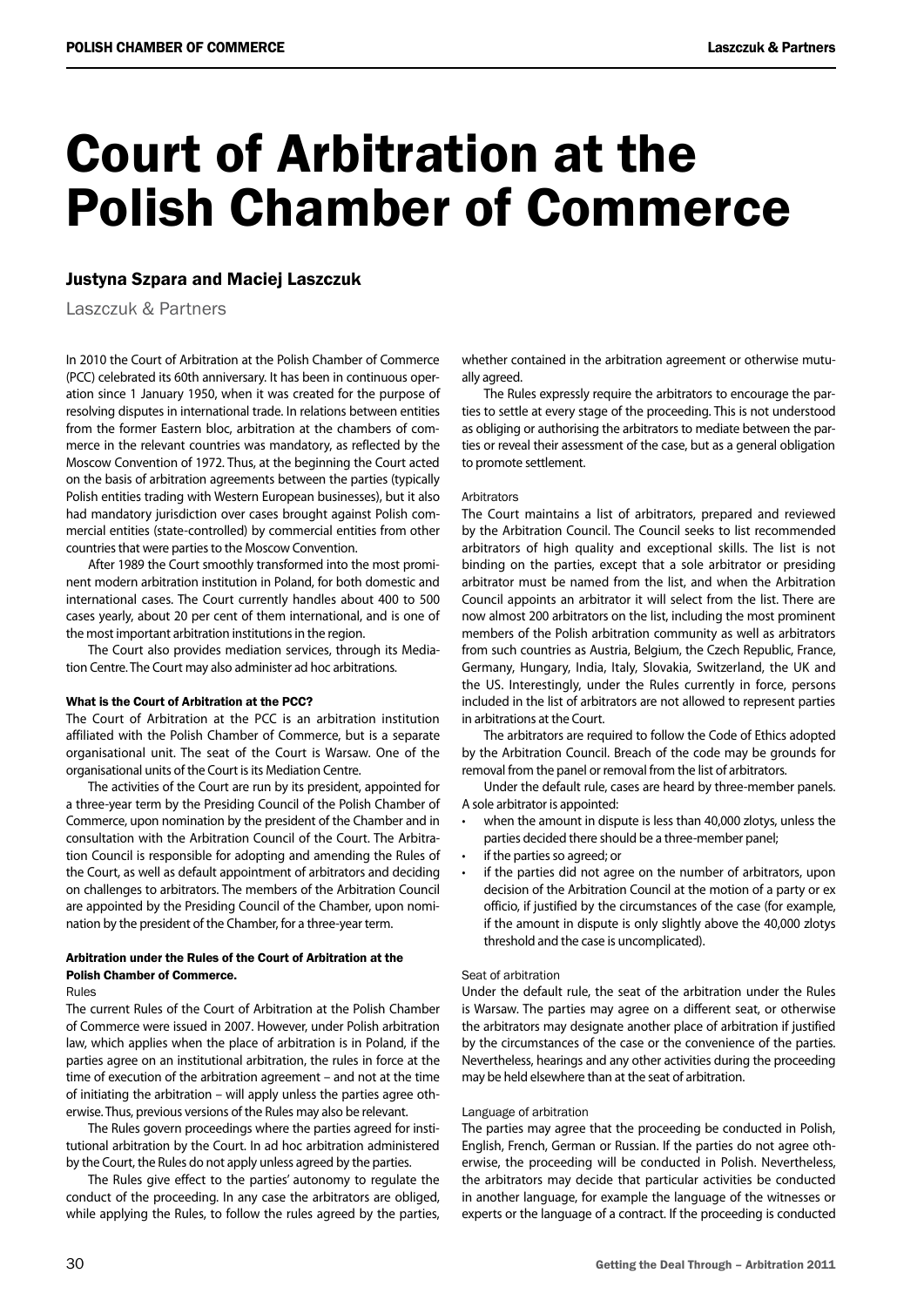# Court of Arbitration at the Polish Chamber of Commerce

# Justyna Szpara and Maciej Laszczuk

Laszczuk & Partners

In 2010 the Court of Arbitration at the Polish Chamber of Commerce (PCC) celebrated its 60th anniversary. It has been in continuous operation since 1 January 1950, when it was created for the purpose of resolving disputes in international trade. In relations between entities from the former Eastern bloc, arbitration at the chambers of commerce in the relevant countries was mandatory, as reflected by the Moscow Convention of 1972. Thus, at the beginning the Court acted on the basis of arbitration agreements between the parties (typically Polish entities trading with Western European businesses), but it also had mandatory jurisdiction over cases brought against Polish commercial entities (state-controlled) by commercial entities from other countries that were parties to the Moscow Convention.

After 1989 the Court smoothly transformed into the most prominent modern arbitration institution in Poland, for both domestic and international cases. The Court currently handles about 400 to 500 cases yearly, about 20 per cent of them international, and is one of the most important arbitration institutions in the region.

The Court also provides mediation services, through its Mediation Centre. The Court may also administer ad hoc arbitrations.

#### What is the Court of Arbitration at the PCC?

The Court of Arbitration at the PCC is an arbitration institution affiliated with the Polish Chamber of Commerce, but is a separate organisational unit. The seat of the Court is Warsaw. One of the organisational units of the Court is its Mediation Centre.

The activities of the Court are run by its president, appointed for a three-year term by the Presiding Council of the Polish Chamber of Commerce, upon nomination by the president of the Chamber and in consultation with the Arbitration Council of the Court. The Arbitration Council is responsible for adopting and amending the Rules of the Court, as well as default appointment of arbitrators and deciding on challenges to arbitrators. The members of the Arbitration Council are appointed by the Presiding Council of the Chamber, upon nomination by the president of the Chamber, for a three-year term.

### Arbitration under the Rules of the Court of Arbitration at the Polish Chamber of Commerce.

#### Rules

The current Rules of the Court of Arbitration at the Polish Chamber of Commerce were issued in 2007. However, under Polish arbitration law, which applies when the place of arbitration is in Poland, if the parties agree on an institutional arbitration, the rules in force at the time of execution of the arbitration agreement – and not at the time of initiating the arbitration – will apply unless the parties agree otherwise. Thus, previous versions of the Rules may also be relevant.

The Rules govern proceedings where the parties agreed for institutional arbitration by the Court. In ad hoc arbitration administered by the Court, the Rules do not apply unless agreed by the parties.

The Rules give effect to the parties' autonomy to regulate the conduct of the proceeding. In any case the arbitrators are obliged, while applying the Rules, to follow the rules agreed by the parties, whether contained in the arbitration agreement or otherwise mutually agreed.

The Rules expressly require the arbitrators to encourage the parties to settle at every stage of the proceeding. This is not understood as obliging or authorising the arbitrators to mediate between the parties or reveal their assessment of the case, but as a general obligation to promote settlement.

#### Arbitrators

The Court maintains a list of arbitrators, prepared and reviewed by the Arbitration Council. The Council seeks to list recommended arbitrators of high quality and exceptional skills. The list is not binding on the parties, except that a sole arbitrator or presiding arbitrator must be named from the list, and when the Arbitration Council appoints an arbitrator it will select from the list. There are now almost 200 arbitrators on the list, including the most prominent members of the Polish arbitration community as well as arbitrators from such countries as Austria, Belgium, the Czech Republic, France, Germany, Hungary, India, Italy, Slovakia, Switzerland, the UK and the US. Interestingly, under the Rules currently in force, persons included in the list of arbitrators are not allowed to represent parties in arbitrations at the Court.

The arbitrators are required to follow the Code of Ethics adopted by the Arbitration Council. Breach of the code may be grounds for removal from the panel or removal from the list of arbitrators.

Under the default rule, cases are heard by three-member panels. A sole arbitrator is appointed:

- when the amount in dispute is less than 40,000 zlotys, unless the parties decided there should be a three-member panel;
- if the parties so agreed; or
- if the parties did not agree on the number of arbitrators, upon decision of the Arbitration Council at the motion of a party or ex officio, if justified by the circumstances of the case (for example, if the amount in dispute is only slightly above the 40,000 zlotys threshold and the case is uncomplicated).

#### Seat of arbitration

Under the default rule, the seat of the arbitration under the Rules is Warsaw. The parties may agree on a different seat, or otherwise the arbitrators may designate another place of arbitration if justified by the circumstances of the case or the convenience of the parties. Nevertheless, hearings and any other activities during the proceeding may be held elsewhere than at the seat of arbitration.

#### Language of arbitration

The parties may agree that the proceeding be conducted in Polish, English, French, German or Russian. If the parties do not agree otherwise, the proceeding will be conducted in Polish. Nevertheless, the arbitrators may decide that particular activities be conducted in another language, for example the language of the witnesses or experts or the language of a contract. If the proceeding is conducted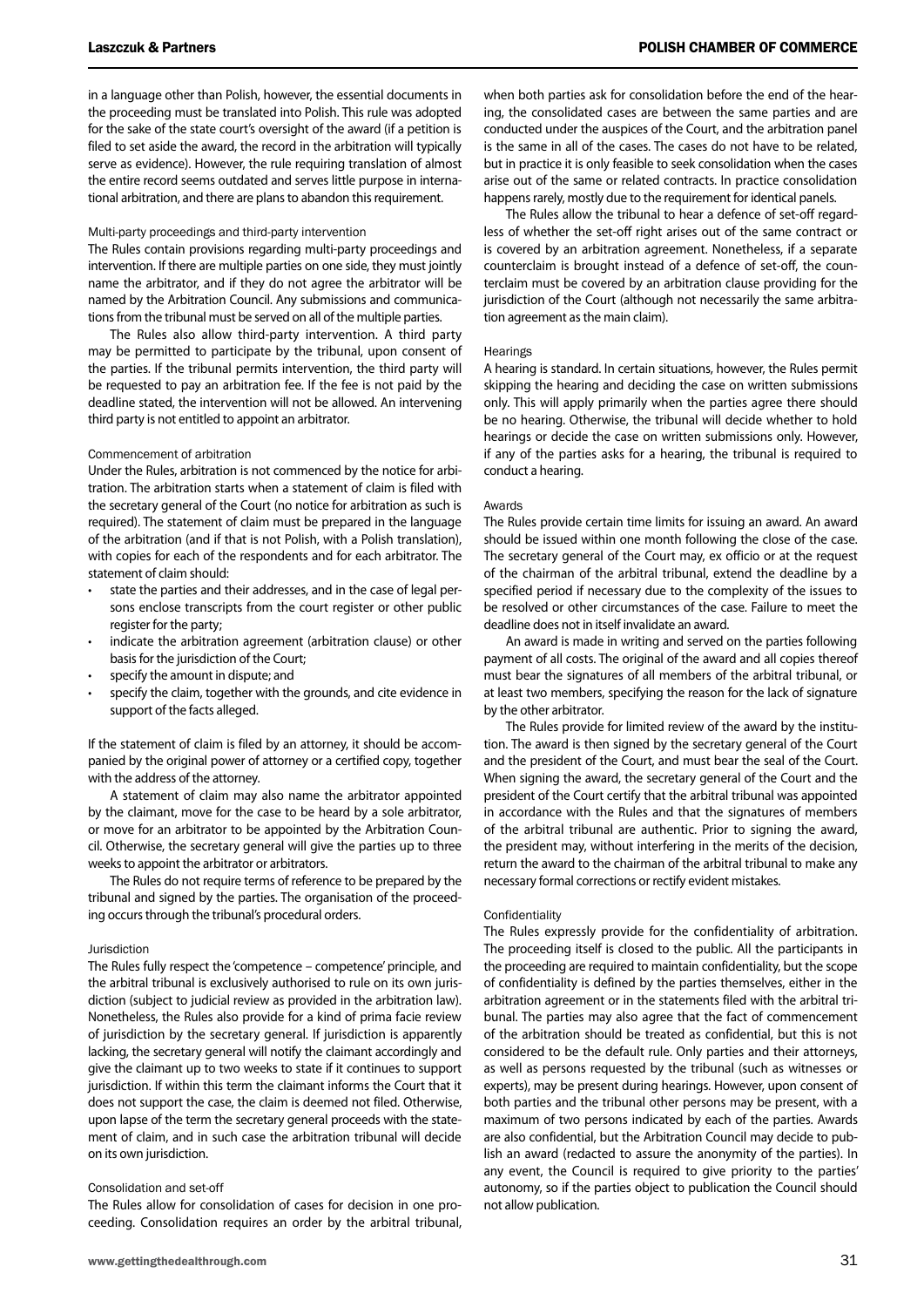in a language other than Polish, however, the essential documents in the proceeding must be translated into Polish. This rule was adopted for the sake of the state court's oversight of the award (if a petition is filed to set aside the award, the record in the arbitration will typically serve as evidence). However, the rule requiring translation of almost the entire record seems outdated and serves little purpose in international arbitration, and there are plans to abandon this requirement.

#### Multi-party proceedings and third-party intervention

The Rules contain provisions regarding multi-party proceedings and intervention. If there are multiple parties on one side, they must jointly name the arbitrator, and if they do not agree the arbitrator will be named by the Arbitration Council. Any submissions and communications from the tribunal must be served on all of the multiple parties.

The Rules also allow third-party intervention. A third party may be permitted to participate by the tribunal, upon consent of the parties. If the tribunal permits intervention, the third party will be requested to pay an arbitration fee. If the fee is not paid by the deadline stated, the intervention will not be allowed. An intervening third party is not entitled to appoint an arbitrator.

#### Commencement of arbitration

Under the Rules, arbitration is not commenced by the notice for arbitration. The arbitration starts when a statement of claim is filed with the secretary general of the Court (no notice for arbitration as such is required). The statement of claim must be prepared in the language of the arbitration (and if that is not Polish, with a Polish translation), with copies for each of the respondents and for each arbitrator. The statement of claim should:

- state the parties and their addresses, and in the case of legal persons enclose transcripts from the court register or other public register for the party;
- indicate the arbitration agreement (arbitration clause) or other basis for the jurisdiction of the Court;
- specify the amount in dispute; and
- specify the claim, together with the grounds, and cite evidence in support of the facts alleged.

If the statement of claim is filed by an attorney, it should be accompanied by the original power of attorney or a certified copy, together with the address of the attorney.

A statement of claim may also name the arbitrator appointed by the claimant, move for the case to be heard by a sole arbitrator, or move for an arbitrator to be appointed by the Arbitration Council. Otherwise, the secretary general will give the parties up to three weeks to appoint the arbitrator or arbitrators.

The Rules do not require terms of reference to be prepared by the tribunal and signed by the parties. The organisation of the proceeding occurs through the tribunal's procedural orders.

#### Jurisdiction

The Rules fully respect the 'competence – competence' principle, and the arbitral tribunal is exclusively authorised to rule on its own jurisdiction (subject to judicial review as provided in the arbitration law). Nonetheless, the Rules also provide for a kind of prima facie review of jurisdiction by the secretary general. If jurisdiction is apparently lacking, the secretary general will notify the claimant accordingly and give the claimant up to two weeks to state if it continues to support jurisdiction. If within this term the claimant informs the Court that it does not support the case, the claim is deemed not filed. Otherwise, upon lapse of the term the secretary general proceeds with the statement of claim, and in such case the arbitration tribunal will decide on its own jurisdiction.

#### Consolidation and set-off

The Rules allow for consolidation of cases for decision in one proceeding. Consolidation requires an order by the arbitral tribunal, when both parties ask for consolidation before the end of the hearing, the consolidated cases are between the same parties and are conducted under the auspices of the Court, and the arbitration panel is the same in all of the cases. The cases do not have to be related, but in practice it is only feasible to seek consolidation when the cases arise out of the same or related contracts. In practice consolidation happens rarely, mostly due to the requirement for identical panels.

The Rules allow the tribunal to hear a defence of set-off regardless of whether the set-off right arises out of the same contract or is covered by an arbitration agreement. Nonetheless, if a separate counterclaim is brought instead of a defence of set-off, the counterclaim must be covered by an arbitration clause providing for the jurisdiction of the Court (although not necessarily the same arbitration agreement as the main claim).

#### **Hearings**

A hearing is standard. In certain situations, however, the Rules permit skipping the hearing and deciding the case on written submissions only. This will apply primarily when the parties agree there should be no hearing. Otherwise, the tribunal will decide whether to hold hearings or decide the case on written submissions only. However, if any of the parties asks for a hearing, the tribunal is required to conduct a hearing.

#### Awards

The Rules provide certain time limits for issuing an award. An award should be issued within one month following the close of the case. The secretary general of the Court may, ex officio or at the request of the chairman of the arbitral tribunal, extend the deadline by a specified period if necessary due to the complexity of the issues to be resolved or other circumstances of the case. Failure to meet the deadline does not in itself invalidate an award.

An award is made in writing and served on the parties following payment of all costs. The original of the award and all copies thereof must bear the signatures of all members of the arbitral tribunal, or at least two members, specifying the reason for the lack of signature by the other arbitrator.

The Rules provide for limited review of the award by the institution. The award is then signed by the secretary general of the Court and the president of the Court, and must bear the seal of the Court. When signing the award, the secretary general of the Court and the president of the Court certify that the arbitral tribunal was appointed in accordance with the Rules and that the signatures of members of the arbitral tribunal are authentic. Prior to signing the award, the president may, without interfering in the merits of the decision, return the award to the chairman of the arbitral tribunal to make any necessary formal corrections or rectify evident mistakes.

#### **Confidentiality**

The Rules expressly provide for the confidentiality of arbitration. The proceeding itself is closed to the public. All the participants in the proceeding are required to maintain confidentiality, but the scope of confidentiality is defined by the parties themselves, either in the arbitration agreement or in the statements filed with the arbitral tribunal. The parties may also agree that the fact of commencement of the arbitration should be treated as confidential, but this is not considered to be the default rule. Only parties and their attorneys, as well as persons requested by the tribunal (such as witnesses or experts), may be present during hearings. However, upon consent of both parties and the tribunal other persons may be present, with a maximum of two persons indicated by each of the parties. Awards are also confidential, but the Arbitration Council may decide to publish an award (redacted to assure the anonymity of the parties). In any event, the Council is required to give priority to the parties' autonomy, so if the parties object to publication the Council should not allow publication.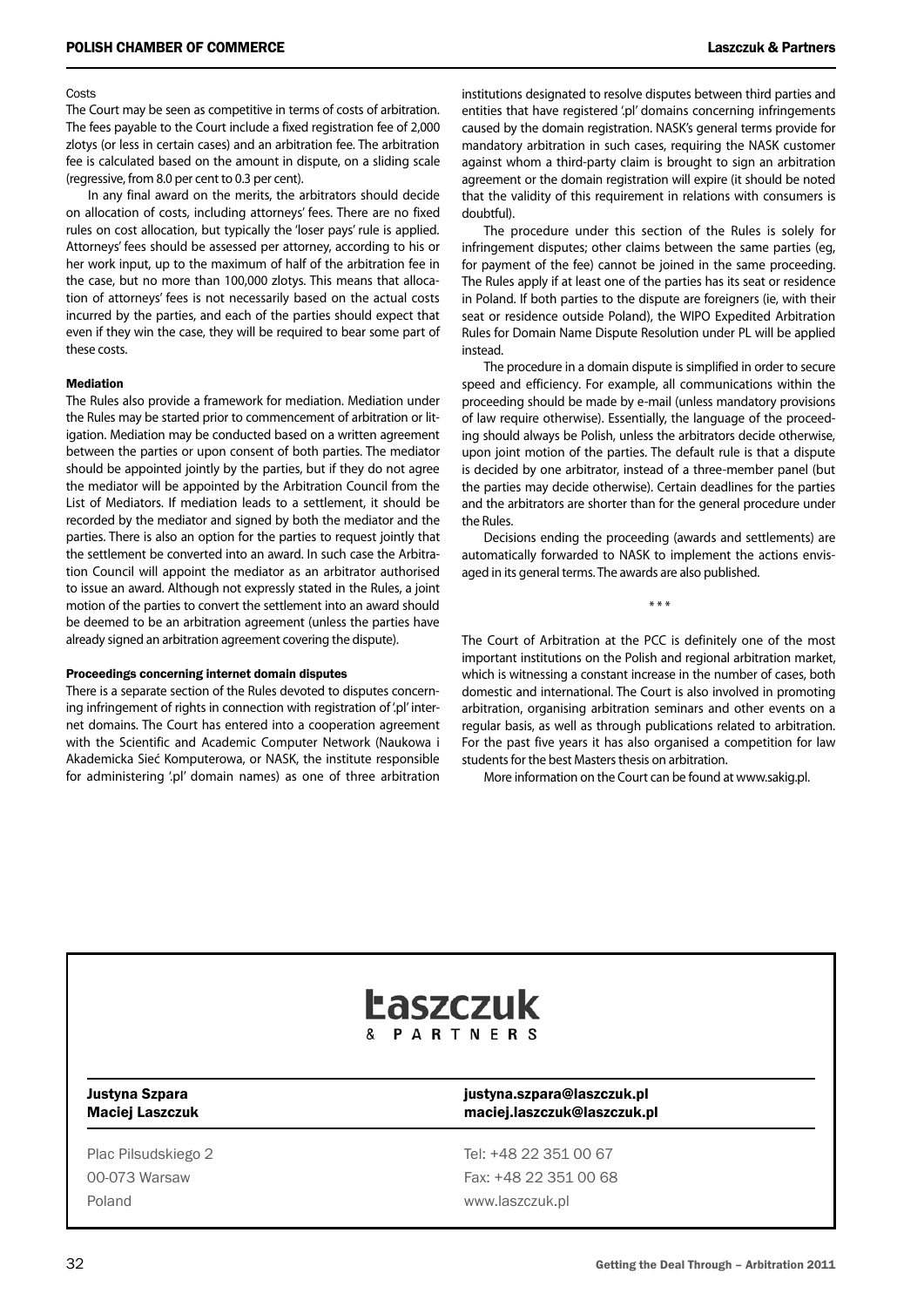#### Costs

The Court may be seen as competitive in terms of costs of arbitration. The fees payable to the Court include a fixed registration fee of 2,000 zlotys (or less in certain cases) and an arbitration fee. The arbitration fee is calculated based on the amount in dispute, on a sliding scale (regressive, from 8.0 per cent to 0.3 per cent).

In any final award on the merits, the arbitrators should decide on allocation of costs, including attorneys' fees. There are no fixed rules on cost allocation, but typically the 'loser pays' rule is applied. Attorneys' fees should be assessed per attorney, according to his or her work input, up to the maximum of half of the arbitration fee in the case, but no more than 100,000 zlotys. This means that allocation of attorneys' fees is not necessarily based on the actual costs incurred by the parties, and each of the parties should expect that even if they win the case, they will be required to bear some part of these costs.

#### Mediation

The Rules also provide a framework for mediation. Mediation under the Rules may be started prior to commencement of arbitration or litigation. Mediation may be conducted based on a written agreement between the parties or upon consent of both parties. The mediator should be appointed jointly by the parties, but if they do not agree the mediator will be appointed by the Arbitration Council from the List of Mediators. If mediation leads to a settlement, it should be recorded by the mediator and signed by both the mediator and the parties. There is also an option for the parties to request jointly that the settlement be converted into an award. In such case the Arbitration Council will appoint the mediator as an arbitrator authorised to issue an award. Although not expressly stated in the Rules, a joint motion of the parties to convert the settlement into an award should be deemed to be an arbitration agreement (unless the parties have already signed an arbitration agreement covering the dispute).

#### Proceedings concerning internet domain disputes

There is a separate section of the Rules devoted to disputes concerning infringement of rights in connection with registration of '.pl' internet domains. The Court has entered into a cooperation agreement with the Scientific and Academic Computer Network (Naukowa i Akademicka Sieć Komputerowa, or NASK, the institute responsible for administering '.pl' domain names) as one of three arbitration

institutions designated to resolve disputes between third parties and entities that have registered '.pl' domains concerning infringements caused by the domain registration. NASK's general terms provide for mandatory arbitration in such cases, requiring the NASK customer against whom a third-party claim is brought to sign an arbitration agreement or the domain registration will expire (it should be noted that the validity of this requirement in relations with consumers is doubtful).

The procedure under this section of the Rules is solely for infringement disputes; other claims between the same parties (eg, for payment of the fee) cannot be joined in the same proceeding. The Rules apply if at least one of the parties has its seat or residence in Poland. If both parties to the dispute are foreigners (ie, with their seat or residence outside Poland), the WIPO Expedited Arbitration Rules for Domain Name Dispute Resolution under PL will be applied instead.

The procedure in a domain dispute is simplified in order to secure speed and efficiency. For example, all communications within the proceeding should be made by e-mail (unless mandatory provisions of law require otherwise). Essentially, the language of the proceeding should always be Polish, unless the arbitrators decide otherwise, upon joint motion of the parties. The default rule is that a dispute is decided by one arbitrator, instead of a three-member panel (but the parties may decide otherwise). Certain deadlines for the parties and the arbitrators are shorter than for the general procedure under the Rules.

Decisions ending the proceeding (awards and settlements) are automatically forwarded to NASK to implement the actions envisaged in its general terms. The awards are also published.

\* \* \*

The Court of Arbitration at the PCC is definitely one of the most important institutions on the Polish and regional arbitration market, which is witnessing a constant increase in the number of cases, both domestic and international. The Court is also involved in promoting arbitration, organising arbitration seminars and other events on a regular basis, as well as through publications related to arbitration. For the past five years it has also organised a competition for law students for the best Masters thesis on arbitration.

More information on the Court can be found at www.sakig.pl.



Poland www.laszczuk.pl

## Justyna Szpara justyna.szpara@laszczuk.pl Maciej Laszczuk maciej.laszczuk@laszczuk.pl

Plac Pilsudskiego 2 Tel: +48 22 351 00 67 00-073 Warsaw Fax: +48 22 351 00 68